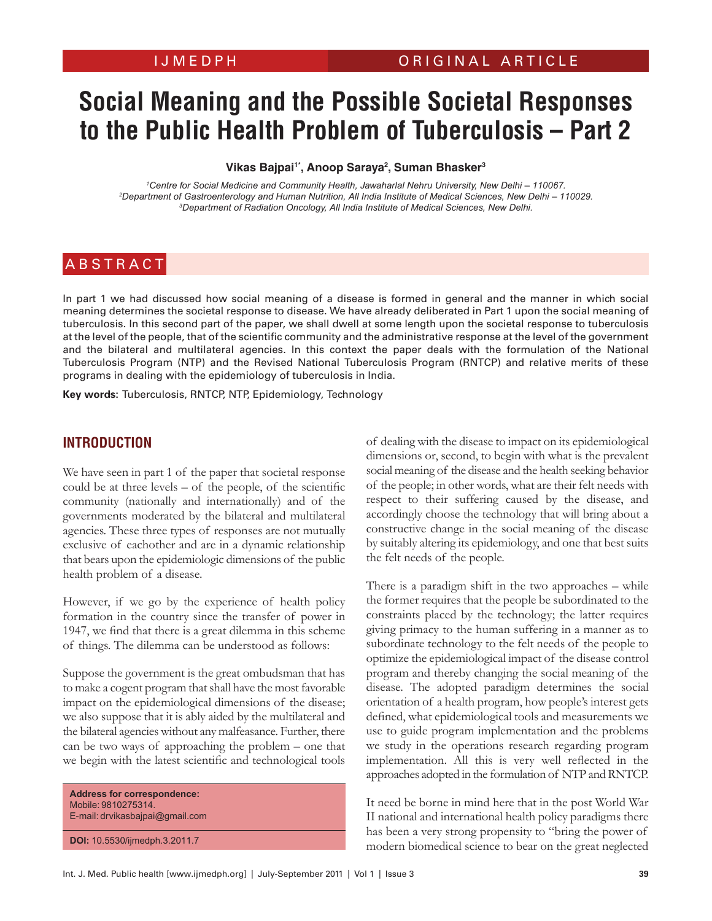# **Social Meaning and the Possible Societal Responses to the Public Health Problem of Tuberculosis – Part 2**

## Vikas Bajpai<sup>1\*</sup>, Anoop Saraya<sup>2</sup>, Suman Bhasker<sup>3</sup>

*1 Centre for Social Medicine and Community Health, Jawaharlal Nehru University, New Delhi – 110067. 2* <sup>2</sup>Department of Gastroenterology and Human Nutrition, All India Institute of Medical Sciences, New Delhi - 110029. <sup>3</sup>Department of Radiation Oncology, All India Institute of Medical Sciences, New Delhi.

# **ABSTRACT**

In part 1 we had discussed how social meaning of a disease is formed in general and the manner in which social meaning determines the societal response to disease. We have already deliberated in Part 1 upon the social meaning of tuberculosis. In this second part of the paper, we shall dwell at some length upon the societal response to tuberculosis at the level of the people, that of the scientific community and the administrative response at the level of the government and the bilateral and multilateral agencies. In this context the paper deals with the formulation of the National Tuberculosis Program (NTP) and the Revised National Tuberculosis Program (RNTCP) and relative merits of these programs in dealing with the epidemiology of tuberculosis in India.

**Key words:** Tuberculosis, RNTCP, NTP, Epidemiology, Technology

## **Introduction**

We have seen in part 1 of the paper that societal response could be at three levels  $-$  of the people, of the scientific community (nationally and internationally) and of the governments moderated by the bilateral and multilateral agencies. These three types of responses are not mutually exclusive of eachother and are in a dynamic relationship that bears upon the epidemiologic dimensions of the public health problem of a disease.

However, if we go by the experience of health policy formation in the country since the transfer of power in 1947, we find that there is a great dilemma in this scheme of things. The dilemma can be understood as follows:

Suppose the government is the great ombudsman that has to make a cogent program that shall have the most favorable impact on the epidemiological dimensions of the disease; we also suppose that it is ably aided by the multilateral and the bilateral agencies without any malfeasance. Further, there can be two ways of approaching the problem – one that we begin with the latest scientific and technological tools

**Address for correspondence:** Mobile: 9810275314. E-mail: drvikasbajpai@gmail.com

**DOI:** 10.5530/ijmedph.3.2011.7

of dealing with the disease to impact on its epidemiological dimensions or, second, to begin with what is the prevalent social meaning of the disease and the health seeking behavior of the people; in other words, what are their felt needs with respect to their suffering caused by the disease, and accordingly choose the technology that will bring about a constructive change in the social meaning of the disease by suitably altering its epidemiology, and one that best suits the felt needs of the people.

There is a paradigm shift in the two approaches – while the former requires that the people be subordinated to the constraints placed by the technology; the latter requires giving primacy to the human suffering in a manner as to subordinate technology to the felt needs of the people to optimize the epidemiological impact of the disease control program and thereby changing the social meaning of the disease. The adopted paradigm determines the social orientation of a health program, how people's interest gets defined, what epidemiological tools and measurements we use to guide program implementation and the problems we study in the operations research regarding program implementation. All this is very well reflected in the approaches adopted in the formulation of NTP and RNTCP.

It need be borne in mind here that in the post World War II national and international health policy paradigms there has been a very strong propensity to "bring the power of modern biomedical science to bear on the great neglected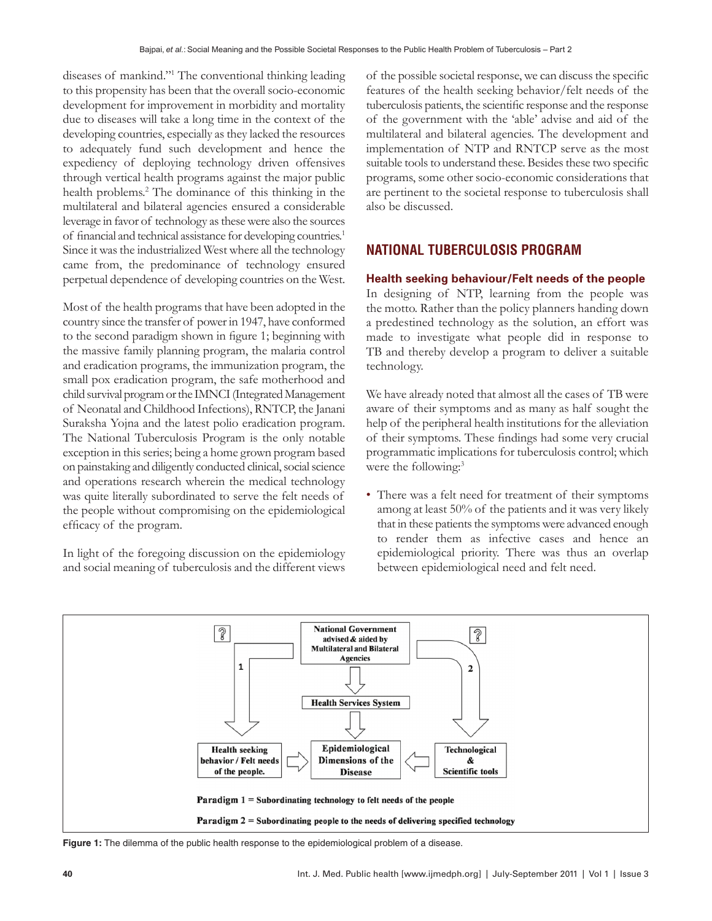diseases of mankind."1 The conventional thinking leading to this propensity has been that the overall socio-economic development for improvement in morbidity and mortality due to diseases will take a long time in the context of the developing countries, especially as they lacked the resources to adequately fund such development and hence the expediency of deploying technology driven offensives through vertical health programs against the major public health problems.<sup>2</sup> The dominance of this thinking in the multilateral and bilateral agencies ensured a considerable leverage in favor of technology as these were also the sources of financial and technical assistance for developing countries.<sup>1</sup> Since it was the industrialized West where all the technology came from, the predominance of technology ensured perpetual dependence of developing countries on the West.

Most of the health programs that have been adopted in the country since the transfer of power in 1947, have conformed to the second paradigm shown in figure 1; beginning with the massive family planning program, the malaria control and eradication programs, the immunization program, the small pox eradication program, the safe motherhood and child survival program or the IMNCI (Integrated Management of Neonatal and Childhood Infections), RNTCP, the Janani Suraksha Yojna and the latest polio eradication program. The National Tuberculosis Program is the only notable exception in this series; being a home grown program based on painstaking and diligently conducted clinical, social science and operations research wherein the medical technology was quite literally subordinated to serve the felt needs of the people without compromising on the epidemiological efficacy of the program.

In light of the foregoing discussion on the epidemiology and social meaning of tuberculosis and the different views of the possible societal response, we can discuss the specific features of the health seeking behavior/felt needs of the tuberculosis patients, the scientific response and the response of the government with the 'able' advise and aid of the multilateral and bilateral agencies. The development and implementation of NTP and RNTCP serve as the most suitable tools to understand these. Besides these two specific programs, some other socio-economic considerations that are pertinent to the societal response to tuberculosis shall also be discussed.

# **National tuberculosis program**

## **Health seeking behaviour/Felt needs of the people**

In designing of NTP, learning from the people was the motto. Rather than the policy planners handing down a predestined technology as the solution, an effort was made to investigate what people did in response to TB and thereby develop a program to deliver a suitable technology.

We have already noted that almost all the cases of TB were aware of their symptoms and as many as half sought the help of the peripheral health institutions for the alleviation of their symptoms. These findings had some very crucial programmatic implications for tuberculosis control; which were the following:<sup>3</sup>

• There was a felt need for treatment of their symptoms among at least 50% of the patients and it was very likely that in these patients the symptoms were advanced enough to render them as infective cases and hence an epidemiological priority. There was thus an overlap between epidemiological need and felt need.



**Figure 1:** The dilemma of the public health response to the epidemiological problem of a disease.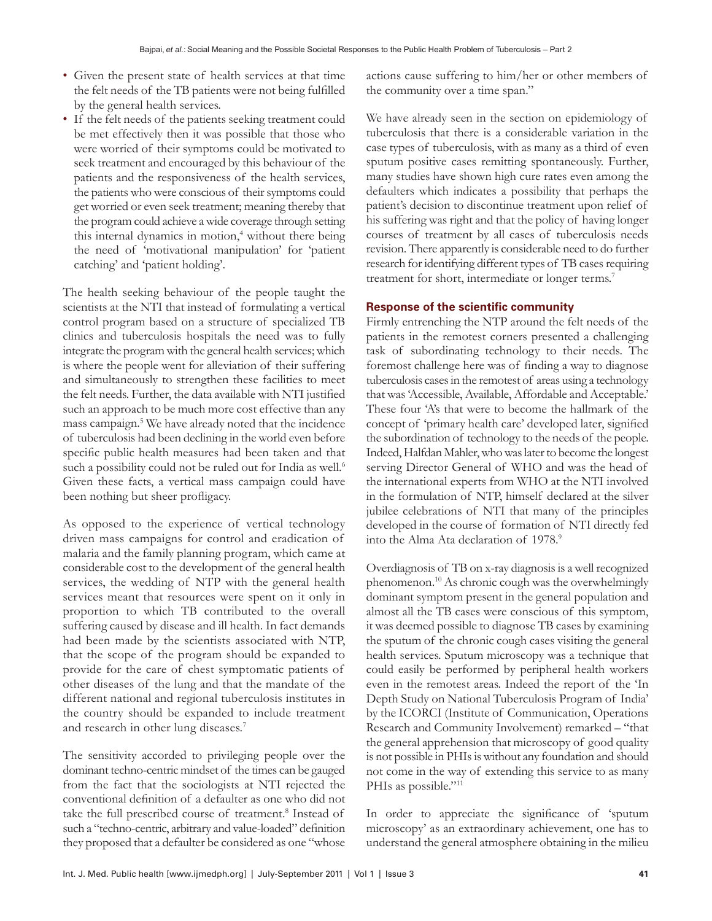- Given the present state of health services at that time the felt needs of the TB patients were not being fulfilled by the general health services.
- If the felt needs of the patients seeking treatment could be met effectively then it was possible that those who were worried of their symptoms could be motivated to seek treatment and encouraged by this behaviour of the patients and the responsiveness of the health services, the patients who were conscious of their symptoms could get worried or even seek treatment; meaning thereby that the program could achieve a wide coverage through setting this internal dynamics in motion,<sup>4</sup> without there being the need of 'motivational manipulation' for 'patient catching' and 'patient holding'.

The health seeking behaviour of the people taught the scientists at the NTI that instead of formulating a vertical control program based on a structure of specialized TB clinics and tuberculosis hospitals the need was to fully integrate the program with the general health services; which is where the people went for alleviation of their suffering and simultaneously to strengthen these facilities to meet the felt needs. Further, the data available with NTI justified such an approach to be much more cost effective than any mass campaign.5 We have already noted that the incidence of tuberculosis had been declining in the world even before specific public health measures had been taken and that such a possibility could not be ruled out for India as well.<sup>6</sup> Given these facts, a vertical mass campaign could have been nothing but sheer profligacy.

As opposed to the experience of vertical technology driven mass campaigns for control and eradication of malaria and the family planning program, which came at considerable cost to the development of the general health services, the wedding of NTP with the general health services meant that resources were spent on it only in proportion to which TB contributed to the overall suffering caused by disease and ill health. In fact demands had been made by the scientists associated with NTP, that the scope of the program should be expanded to provide for the care of chest symptomatic patients of other diseases of the lung and that the mandate of the different national and regional tuberculosis institutes in the country should be expanded to include treatment and research in other lung diseases.7

The sensitivity accorded to privileging people over the dominant techno-centric mindset of the times can be gauged from the fact that the sociologists at NTI rejected the conventional definition of a defaulter as one who did not take the full prescribed course of treatment.<sup>8</sup> Instead of such a "techno-centric, arbitrary and value-loaded" definition they proposed that a defaulter be considered as one "whose actions cause suffering to him/her or other members of the community over a time span."

We have already seen in the section on epidemiology of tuberculosis that there is a considerable variation in the case types of tuberculosis, with as many as a third of even sputum positive cases remitting spontaneously. Further, many studies have shown high cure rates even among the defaulters which indicates a possibility that perhaps the patient's decision to discontinue treatment upon relief of his suffering was right and that the policy of having longer courses of treatment by all cases of tuberculosis needs revision. There apparently is considerable need to do further research for identifying different types of TB cases requiring treatment for short, intermediate or longer terms.<sup>7</sup>

## **Response of the scientific community**

Firmly entrenching the NTP around the felt needs of the patients in the remotest corners presented a challenging task of subordinating technology to their needs. The foremost challenge here was of finding a way to diagnose tuberculosis cases in the remotest of areas using a technology that was 'Accessible, Available, Affordable and Acceptable.' These four 'A's that were to become the hallmark of the concept of 'primary health care' developed later, signified the subordination of technology to the needs of the people. Indeed, Halfdan Mahler, who was later to become the longest serving Director General of WHO and was the head of the international experts from WHO at the NTI involved in the formulation of NTP, himself declared at the silver jubilee celebrations of NTI that many of the principles developed in the course of formation of NTI directly fed into the Alma Ata declaration of 1978.<sup>9</sup>

Overdiagnosis of TB on x-ray diagnosis is a well recognized phenomenon.10 As chronic cough was the overwhelmingly dominant symptom present in the general population and almost all the TB cases were conscious of this symptom, it was deemed possible to diagnose TB cases by examining the sputum of the chronic cough cases visiting the general health services. Sputum microscopy was a technique that could easily be performed by peripheral health workers even in the remotest areas. Indeed the report of the 'In Depth Study on National Tuberculosis Program of India' by the ICORCI (Institute of Communication, Operations Research and Community Involvement) remarked – "that the general apprehension that microscopy of good quality is not possible in PHIs is without any foundation and should not come in the way of extending this service to as many PHIs as possible."<sup>11</sup>

In order to appreciate the significance of 'sputum microscopy' as an extraordinary achievement, one has to understand the general atmosphere obtaining in the milieu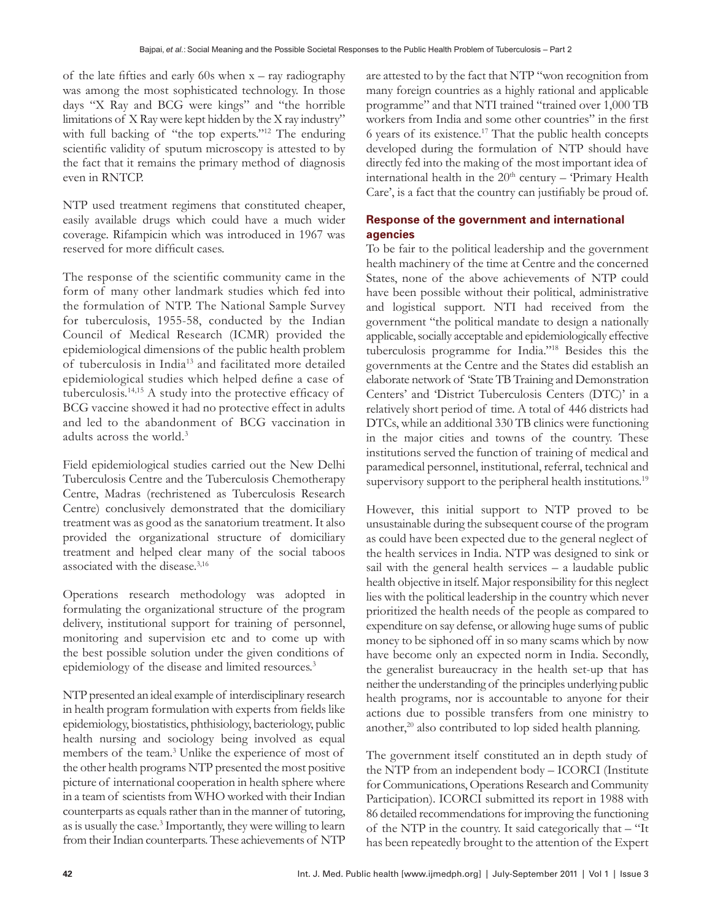of the late fifties and early 60s when  $x - ray$  radiography was among the most sophisticated technology. In those days "X Ray and BCG were kings" and "the horrible limitations of XRay were kept hidden by the X ray industry" with full backing of "the top experts."<sup>12</sup> The enduring scientific validity of sputum microscopy is attested to by the fact that it remains the primary method of diagnosis even in RNTCP.

NTP used treatment regimens that constituted cheaper, easily available drugs which could have a much wider coverage. Rifampicin which was introduced in 1967 was reserved for more difficult cases.

The response of the scientific community came in the form of many other landmark studies which fed into the formulation of NTP. The National Sample Survey for tuberculosis, 1955-58, conducted by the Indian Council of Medical Research (ICMR) provided the epidemiological dimensions of the public health problem of tuberculosis in India13 and facilitated more detailed epidemiological studies which helped define a case of tuberculosis.14,15 A study into the protective efficacy of BCG vaccine showed it had no protective effect in adults and led to the abandonment of BCG vaccination in adults across the world.3

Field epidemiological studies carried out the New Delhi Tuberculosis Centre and the Tuberculosis Chemotherapy Centre, Madras (rechristened as Tuberculosis Research Centre) conclusively demonstrated that the domiciliary treatment was as good as the sanatorium treatment. It also provided the organizational structure of domiciliary treatment and helped clear many of the social taboos associated with the disease.3,16

Operations research methodology was adopted in formulating the organizational structure of the program delivery, institutional support for training of personnel, monitoring and supervision etc and to come up with the best possible solution under the given conditions of epidemiology of the disease and limited resources.<sup>3</sup>

NTP presented an ideal example of interdisciplinary research in health program formulation with experts from fields like epidemiology, biostatistics, phthisiology, bacteriology, public health nursing and sociology being involved as equal members of the team.<sup>3</sup> Unlike the experience of most of the other health programs NTP presented the most positive picture of international cooperation in health sphere where in a team of scientists from WHO worked with their Indian counterparts as equals rather than in the manner of tutoring, as is usually the case.<sup>3</sup> Importantly, they were willing to learn from their Indian counterparts. These achievements of NTP

are attested to by the fact that NTP "won recognition from many foreign countries as a highly rational and applicable programme" and that NTI trained "trained over 1,000 TB workers from India and some other countries" in the first 6 years of its existence.17 That the public health concepts developed during the formulation of NTP should have directly fed into the making of the most important idea of international health in the  $20<sup>th</sup>$  century – 'Primary Health Care', is a fact that the country can justifiably be proud of.

## **Response of the government and international agencies**

To be fair to the political leadership and the government health machinery of the time at Centre and the concerned States, none of the above achievements of NTP could have been possible without their political, administrative and logistical support. NTI had received from the government "the political mandate to design a nationally applicable, socially acceptable and epidemiologically effective tuberculosis programme for India."18 Besides this the governments at the Centre and the States did establish an elaborate network of 'State TB Training and Demonstration Centers' and 'District Tuberculosis Centers (DTC)' in a relatively short period of time. A total of 446 districts had DTCs, while an additional 330 TB clinics were functioning in the major cities and towns of the country. These institutions served the function of training of medical and paramedical personnel, institutional, referral, technical and supervisory support to the peripheral health institutions.<sup>19</sup>

However, this initial support to NTP proved to be unsustainable during the subsequent course of the program as could have been expected due to the general neglect of the health services in India. NTP was designed to sink or sail with the general health services – a laudable public health objective in itself. Major responsibility for this neglect lies with the political leadership in the country which never prioritized the health needs of the people as compared to expenditure on say defense, or allowing huge sums of public money to be siphoned off in so many scams which by now have become only an expected norm in India. Secondly, the generalist bureaucracy in the health set-up that has neither the understanding of the principles underlying public health programs, nor is accountable to anyone for their actions due to possible transfers from one ministry to another,<sup>20</sup> also contributed to lop sided health planning.

The government itself constituted an in depth study of the NTP from an independent body – ICORCI (Institute for Communications, Operations Research and Community Participation). ICORCI submitted its report in 1988 with 86 detailed recommendations for improving the functioning of the NTP in the country. It said categorically that – "It has been repeatedly brought to the attention of the Expert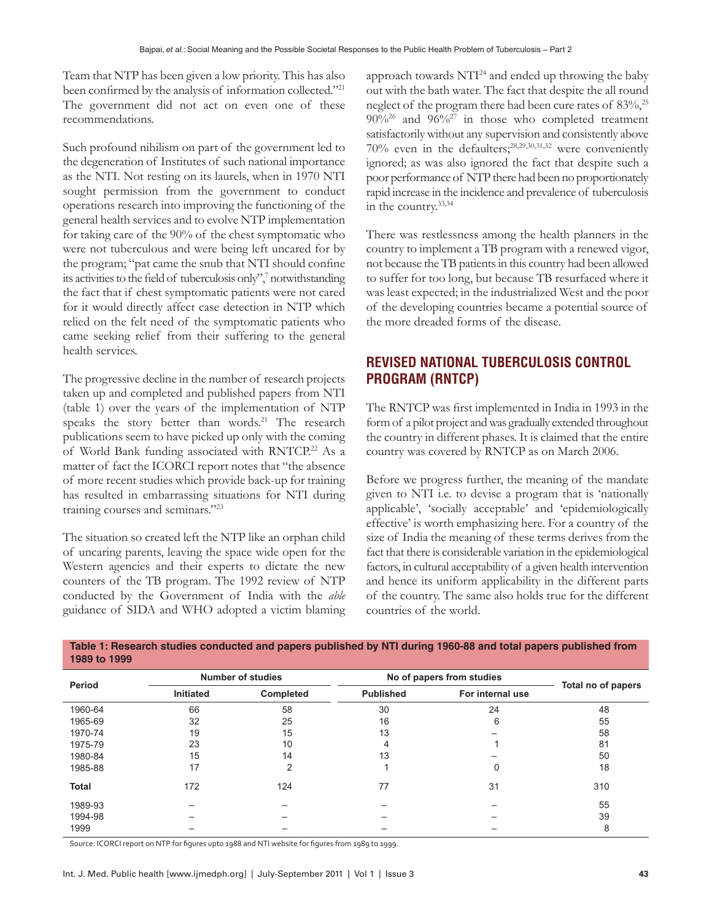Team that NTP has been given a low priority. This has also been confirmed by the analysis of information collected."<sup>21</sup> The government did not act on even one of these recommendations.

Such profound nihilism on part of the government led to the degeneration of Institutes of such national importance as the NTI. Not resting on its laurels, when in 1970 NTI sought permission from the government to conduct operations research into improving the functioning of the general health services and to evolve NTP implementation for taking care of the 90% of the chest symptomatic who were not tuberculous and were being left uncared for by the program; "pat came the snub that NTI should confine its activities to the field of tuberculosis only",7 notwithstanding the fact that if chest symptomatic patients were not cared for it would directly affect case detection in NTP which relied on the felt need of the symptomatic patients who came seeking relief from their suffering to the general health services.

The progressive decline in the number of research projects taken up and completed and published papers from NTI (table 1) over the years of the implementation of NTP speaks the story better than words.<sup>21</sup> The research publications seem to have picked up only with the coming of World Bank funding associated with RNTCP.<sup>22</sup> As a matter of fact the ICORCI report notes that "the absence of more recent studies which provide back-up for training has resulted in embarrassing situations for NTI during training courses and seminars."23

The situation so created left the NTP like an orphan child of uncaring parents, leaving the space wide open for the Western agencies and their experts to dictate the new counters of the TB program. The 1992 review of NTP conducted by the Government of India with the *able*  guidance of SIDA and WHO adopted a victim blaming

approach towards  $NTI<sup>24</sup>$  and ended up throwing the baby out with the bath water. The fact that despite the all round neglect of the program there had been cure rates of 83%,<sup>25</sup>  $90\%^{26}$  and  $96\%^{27}$  in those who completed treatment satisfactorily without any supervision and consistently above 70% even in the defaulters;28,29,30,31,32 were conveniently ignored; as was also ignored the fact that despite such a poor performance of NTP there had been no proportionately rapid increase in the incidence and prevalence of tuberculosis in the country.33,34

There was restlessness among the health planners in the country to implement a TB program with a renewed vigor, not because the TB patients in this country had been allowed to suffer for too long, but because TB resurfaced where it was least expected; in the industrialized West and the poor of the developing countries became a potential source of the more dreaded forms of the disease.

# **Revised national tuberculosis control program (RNTCP)**

The RNTCP was first implemented in India in 1993 in the form of a pilot project and was gradually extended throughout the country in different phases. It is claimed that the entire country was covered by RNTCP as on March 2006.

Before we progress further, the meaning of the mandate given to NTI i.e. to devise a program that is 'nationally applicable', 'socially acceptable' and 'epidemiologically effective' is worth emphasizing here. For a country of the size of India the meaning of these terms derives from the fact that there is considerable variation in the epidemiological factors, in cultural acceptability of a given health intervention and hence its uniform applicability in the different parts of the country. The same also holds true for the different countries of the world.

| Period       | <b>Number of studies</b> |           | No of papers from studies |                  |                    |
|--------------|--------------------------|-----------|---------------------------|------------------|--------------------|
|              | <b>Initiated</b>         | Completed | <b>Published</b>          | For internal use | Total no of papers |
| 1960-64      | 66                       | 58        | 30                        | 24               | 48                 |
| 1965-69      | 32                       | 25        | 16                        | 6                | 55                 |
| 1970-74      | 19                       | 15        | 13                        |                  | 58                 |
| 1975-79      | 23                       | 10        | 4                         |                  | 81                 |
| 1980-84      | 15                       | 14        | 13                        |                  | 50                 |
| 1985-88      | 17                       | 2         |                           | 0                | 18                 |
| <b>Total</b> | 172                      | 124       | 77                        | 31               | 310                |
| 1989-93      |                          |           |                           |                  | 55                 |
| 1994-98      |                          |           |                           |                  | 39                 |
| 1999         |                          |           |                           |                  | 8                  |

**Table 1: Research studies conducted and papers published by NTI during 1960-88 and total papers published from 1989 to 1999**

Source: ICORCI report on NTP for figures upto 1988 and NTI website for figures from 1989 to 1999.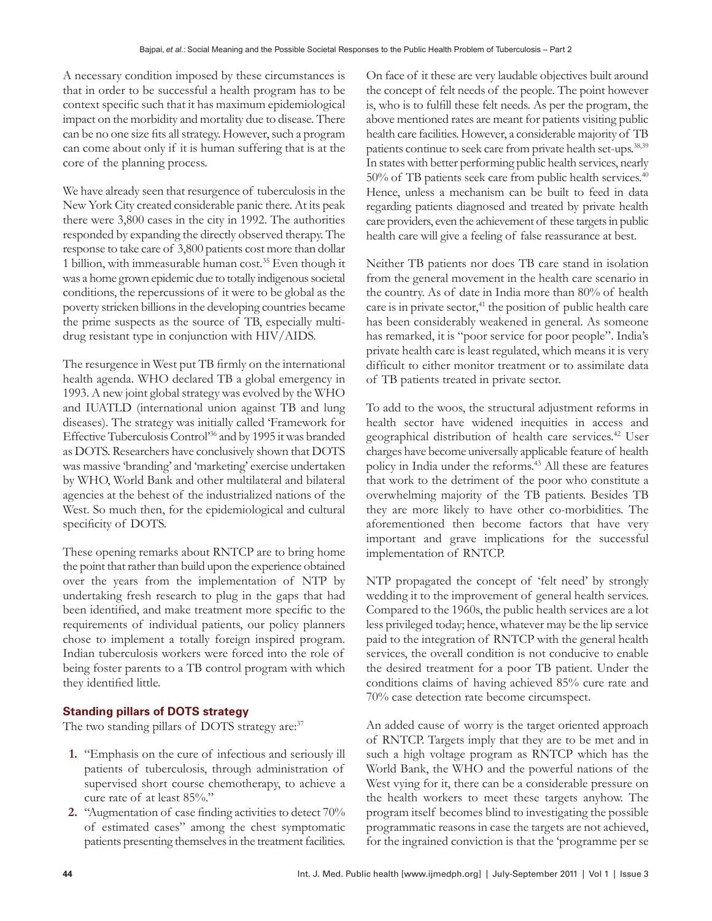A necessary condition imposed by these circumstances is that in order to be successful a health program has to be context specific such that it has maximum epidemiological impact on the morbidity and mortality due to disease. There can be no one size fits all strategy. However, such a program can come about only if it is human suffering that is at the core of the planning process.

We have already seen that resurgence of tuberculosis in the New York City created considerable panic there. At its peak there were 3,800 cases in the city in 1992. The authorities responded by expanding the directly observed therapy. The response to take care of 3,800 patients cost more than dollar 1 billion, with immeasurable human cost.35 Even though it was a home grown epidemic due to totally indigenous societal conditions, the repercussions of it were to be global as the poverty stricken billions in the developing countries became the prime suspects as the source of TB, especially multidrug resistant type in conjunction with HIV/AIDS.

The resurgence in West put TB firmly on the international health agenda. WHO declared TB a global emergency in 1993. A new joint global strategy was evolved by the WHO and IUATLD (international union against TB and lung diseases). The strategy was initially called 'Framework for Effective Tuberculosis Control'36 and by 1995 it was branded as DOTS. Researchers have conclusively shown that DOTS was massive 'branding' and 'marketing' exercise undertaken by WHO, World Bank and other multilateral and bilateral agencies at the behest of the industrialized nations of the West. So much then, for the epidemiological and cultural specificity of DOTS.

These opening remarks about RNTCP are to bring home the point that rather than build upon the experience obtained over the years from the implementation of NTP by undertaking fresh research to plug in the gaps that had been identified, and make treatment more specific to the requirements of individual patients, our policy planners chose to implement a totally foreign inspired program. Indian tuberculosis workers were forced into the role of being foster parents to a TB control program with which they identified little.

## **Standing pillars of DOTS strategy**

The two standing pillars of DOTS strategy are:<sup>37</sup>

- **1.** "Emphasis on the cure of infectious and seriously ill patients of tuberculosis, through administration of supervised short course chemotherapy, to achieve a cure rate of at least 85%."
- **2.** "Augmentation of case finding activities to detect 70% of estimated cases" among the chest symptomatic patients presenting themselves in the treatment facilities.

On face of it these are very laudable objectives built around the concept of felt needs of the people. The point however is, who is to fulfill these felt needs. As per the program, the above mentioned rates are meant for patients visiting public health care facilities. However, a considerable majority of TB patients continue to seek care from private health set-ups.38,39 In states with better performing public health services, nearly 50% of TB patients seek care from public health services.<sup>40</sup> Hence, unless a mechanism can be built to feed in data regarding patients diagnosed and treated by private health care providers, even the achievement of these targets in public health care will give a feeling of false reassurance at best.

Neither TB patients nor does TB care stand in isolation from the general movement in the health care scenario in the country. As of date in India more than 80% of health care is in private sector, $41$  the position of public health care has been considerably weakened in general. As someone has remarked, it is "poor service for poor people". India's private health care is least regulated, which means it is very difficult to either monitor treatment or to assimilate data of TB patients treated in private sector.

To add to the woos, the structural adjustment reforms in health sector have widened inequities in access and geographical distribution of health care services.42 User charges have become universally applicable feature of health policy in India under the reforms.<sup>43</sup> All these are features that work to the detriment of the poor who constitute a overwhelming majority of the TB patients. Besides TB they are more likely to have other co-morbidities. The aforementioned then become factors that have very important and grave implications for the successful implementation of RNTCP.

NTP propagated the concept of 'felt need' by strongly wedding it to the improvement of general health services. Compared to the 1960s, the public health services are a lot less privileged today; hence, whatever may be the lip service paid to the integration of RNTCP with the general health services, the overall condition is not conducive to enable the desired treatment for a poor TB patient. Under the conditions claims of having achieved 85% cure rate and 70% case detection rate become circumspect.

An added cause of worry is the target oriented approach of RNTCP. Targets imply that they are to be met and in such a high voltage program as RNTCP which has the World Bank, the WHO and the powerful nations of the West vying for it, there can be a considerable pressure on the health workers to meet these targets anyhow. The program itself becomes blind to investigating the possible programmatic reasons in case the targets are not achieved, for the ingrained conviction is that the 'programme per se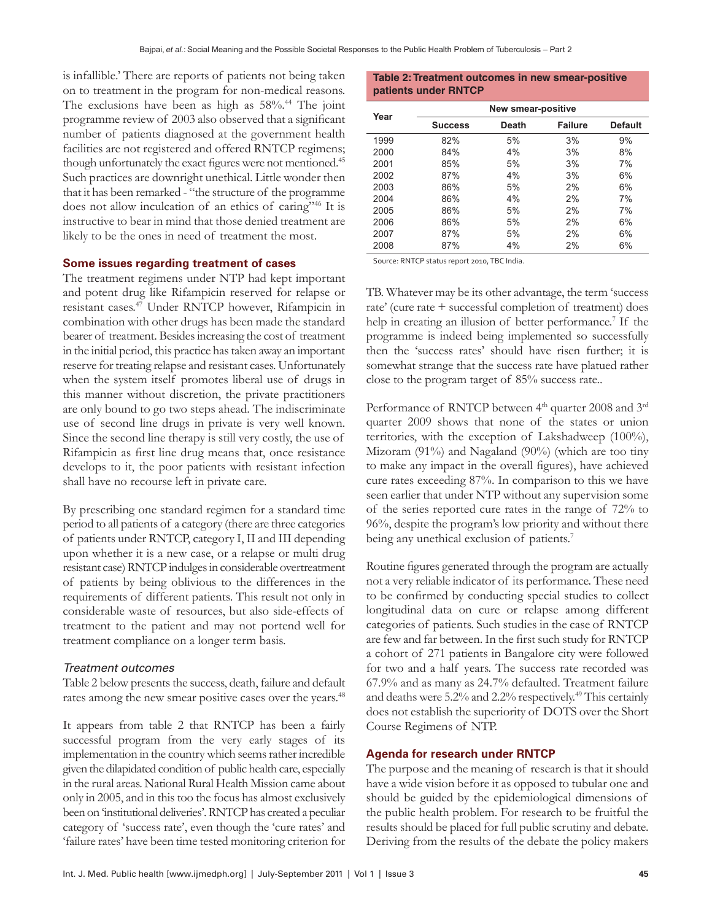is infallible.' There are reports of patients not being taken on to treatment in the program for non-medical reasons. The exclusions have been as high as  $58\%$ .<sup>44</sup> The joint programme review of 2003 also observed that a significant number of patients diagnosed at the government health facilities are not registered and offered RNTCP regimens; though unfortunately the exact figures were not mentioned.<sup>45</sup> Such practices are downright unethical. Little wonder then that it has been remarked - "the structure of the programme does not allow inculcation of an ethics of caring"46 It is instructive to bear in mind that those denied treatment are likely to be the ones in need of treatment the most.

#### **Some issues regarding treatment of cases**

The treatment regimens under NTP had kept important and potent drug like Rifampicin reserved for relapse or resistant cases.47 Under RNTCP however, Rifampicin in combination with other drugs has been made the standard bearer of treatment. Besides increasing the cost of treatment in the initial period, this practice has taken away an important reserve for treating relapse and resistant cases. Unfortunately when the system itself promotes liberal use of drugs in this manner without discretion, the private practitioners are only bound to go two steps ahead. The indiscriminate use of second line drugs in private is very well known. Since the second line therapy is still very costly, the use of Rifampicin as first line drug means that, once resistance develops to it, the poor patients with resistant infection shall have no recourse left in private care.

By prescribing one standard regimen for a standard time period to all patients of a category (there are three categories of patients under RNTCP, category I, II and III depending upon whether it is a new case, or a relapse or multi drug resistant case) RNTCP indulges in considerable overtreatment of patients by being oblivious to the differences in the requirements of different patients. This result not only in considerable waste of resources, but also side-effects of treatment to the patient and may not portend well for treatment compliance on a longer term basis.

#### Treatment outcomes

Table 2 below presents the success, death, failure and default rates among the new smear positive cases over the years.<sup>48</sup>

It appears from table 2 that RNTCP has been a fairly successful program from the very early stages of its implementation in the country which seems rather incredible given the dilapidated condition of public health care, especially in the rural areas. National Rural Health Mission came about only in 2005, and in this too the focus has almost exclusively been on 'institutional deliveries'. RNTCP has created a peculiar category of 'success rate', even though the 'cure rates' and 'failure rates' have been time tested monitoring criterion for

#### **Table 2: Treatment outcomes in new smear-positive patients under RNTCP**

| Year | New smear-positive |              |                |                |  |  |
|------|--------------------|--------------|----------------|----------------|--|--|
|      | <b>Success</b>     | <b>Death</b> | <b>Failure</b> | <b>Default</b> |  |  |
| 1999 | 82%                | 5%           | 3%             | 9%             |  |  |
| 2000 | 84%                | 4%           | 3%             | 8%             |  |  |
| 2001 | 85%                | 5%           | 3%             | 7%             |  |  |
| 2002 | 87%                | 4%           | 3%             | 6%             |  |  |
| 2003 | 86%                | 5%           | 2%             | 6%             |  |  |
| 2004 | 86%                | 4%           | 2%             | 7%             |  |  |
| 2005 | 86%                | 5%           | 2%             | 7%             |  |  |
| 2006 | 86%                | 5%           | 2%             | 6%             |  |  |
| 2007 | 87%                | 5%           | 2%             | 6%             |  |  |
| 2008 | 87%                | 4%           | 2%             | 6%             |  |  |

Source: RNTCP status report 2010, TBC India.

TB. Whatever may be its other advantage, the term 'success rate' (cure rate + successful completion of treatment) does help in creating an illusion of better performance.<sup>7</sup> If the programme is indeed being implemented so successfully then the 'success rates' should have risen further; it is somewhat strange that the success rate have platued rather close to the program target of 85% success rate..

Performance of RNTCP between 4<sup>th</sup> quarter 2008 and 3<sup>rd</sup> quarter 2009 shows that none of the states or union territories, with the exception of Lakshadweep (100%), Mizoram (91%) and Nagaland (90%) (which are too tiny to make any impact in the overall figures), have achieved cure rates exceeding 87%. In comparison to this we have seen earlier that under NTP without any supervision some of the series reported cure rates in the range of 72% to 96%, despite the program's low priority and without there being any unethical exclusion of patients.<sup>7</sup>

Routine figures generated through the program are actually not a very reliable indicator of its performance. These need to be confirmed by conducting special studies to collect longitudinal data on cure or relapse among different categories of patients. Such studies in the case of RNTCP are few and far between. In the first such study for RNTCP a cohort of 271 patients in Bangalore city were followed for two and a half years. The success rate recorded was 67.9% and as many as 24.7% defaulted. Treatment failure and deaths were 5.2% and 2.2% respectively.49 This certainly does not establish the superiority of DOTS over the Short Course Regimens of NTP.

#### **Agenda for research under RNTCP**

The purpose and the meaning of research is that it should have a wide vision before it as opposed to tubular one and should be guided by the epidemiological dimensions of the public health problem. For research to be fruitful the results should be placed for full public scrutiny and debate. Deriving from the results of the debate the policy makers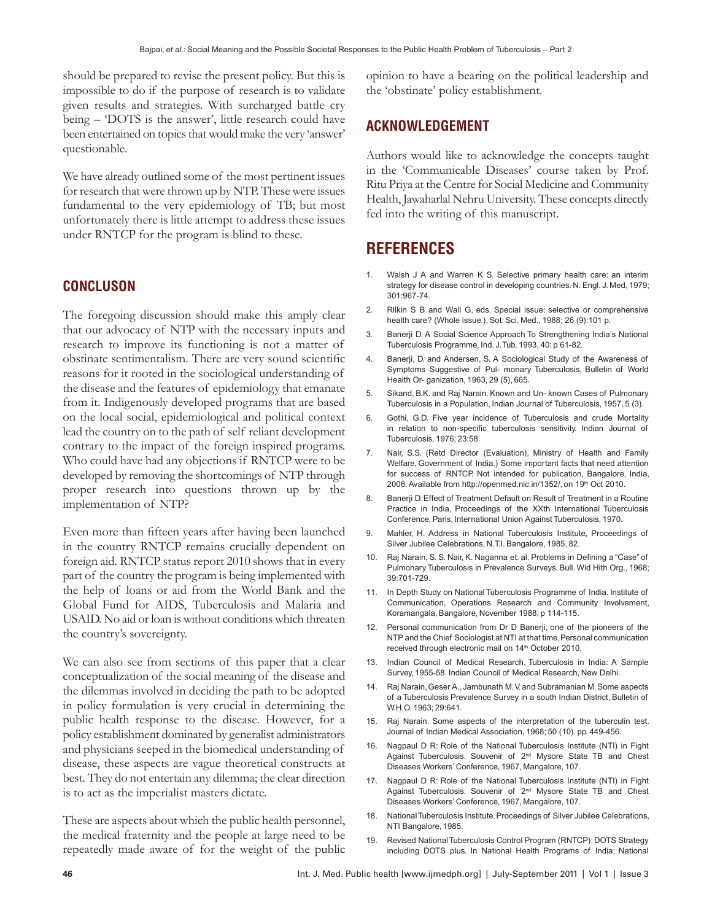should be prepared to revise the present policy. But this is impossible to do if the purpose of research is to validate given results and strategies. With surcharged battle cry being – 'DOTS is the answer', little research could have been entertained on topics that would make the very 'answer' questionable.

We have already outlined some of the most pertinent issues for research that were thrown up by NTP. These were issues fundamental to the very epidemiology of TB; but most unfortunately there is little attempt to address these issues under RNTCP for the program is blind to these.

## **CONCLUSON**

The foregoing discussion should make this amply clear that our advocacy of NTP with the necessary inputs and research to improve its functioning is not a matter of obstinate sentimentalism. There are very sound scientific reasons for it rooted in the sociological understanding of the disease and the features of epidemiology that emanate from it. Indigenously developed programs that are based on the local social, epidemiological and political context lead the country on to the path of self reliant development contrary to the impact of the foreign inspired programs. Who could have had any objections if RNTCP were to be developed by removing the shortcomings of NTP through proper research into questions thrown up by the implementation of NTP?

Even more than fifteen years after having been launched in the country RNTCP remains crucially dependent on foreign aid. RNTCP status report 2010 shows that in every part of the country the program is being implemented with the help of loans or aid from the World Bank and the Global Fund for AIDS, Tuberculosis and Malaria and USAID. No aid or loan is without conditions which threaten the country's sovereignty.

We can also see from sections of this paper that a clear conceptualization of the social meaning of the disease and the dilemmas involved in deciding the path to be adopted in policy formulation is very crucial in determining the public health response to the disease. However, for a policy establishment dominated by generalist administrators and physicians seeped in the biomedical understanding of disease, these aspects are vague theoretical constructs at best. They do not entertain any dilemma; the clear direction is to act as the imperialist masters dictate.

These are aspects about which the public health personnel, the medical fraternity and the people at large need to be repeatedly made aware of for the weight of the public opinion to have a bearing on the political leadership and the 'obstinate' policy establishment.

## **ACKNOWLEDGEMENT**

Authors would like to acknowledge the concepts taught in the 'Communicable Diseases' course taken by Prof. Ritu Priya at the Centre for Social Medicine and Community Health, Jawaharlal Nehru University. These concepts directly fed into the writing of this manuscript.

# **REFERENCES**

- 1. Walsh J A and Warren K S. Selective primary health care: an interim strategy for disease control in developing countries. N. Engl. J. Med, 1979; 301:967-74.
- 2. Rllkin S B and Wall G, eds. Special issue: selective or comprehensive health care? (Whole issue.), Sot: Sci. Med., 1988; 26 (9):101 p.
- 3. Banerji D. A Social Science Approach To Strengthening India's National Tuberculosis Programme, Ind. J. Tub. 1993, 40: p 61-82.
- 4. Banerji, D. and Andersen, S. A Sociological Study of the Awareness of Symptoms Suggestive of Pul- monary Tuberculosis, Bulletin of World Health Or- ganization, 1963, 29 (5), 665.
- 5. Sikand, B.K. and Raj Narain. Known and Un- known Cases of Pulmonary Tuberculosis in a Population, Indian Journal of Tuberculosis, 1957, 5 (3).
- 6. Gothi, G.D. Five year incidence of Tuberculosis and crude Mortality in relation to non-specific tuberculosis sensitivity. Indian Journal of Tuberculosis, 1976; 23:58.
- 7. Nair, S.S. (Retd Director (Evaluation), Ministry of Health and Family Welfare, Government of India.) Some important facts that need attention for success of RNTCP. Not intended for publication, Bangalore, India, 2006. Available from http://openmed.nic.in/1352/, on 19<sup>th</sup> Oct 2010.
- 8. Banerji D. Effect of Treatment Default on Result of Treatment in a Routine Practice in India, Proceedings of the XXth International Tuberculosis Conference, Paris, International Union Against Tuberculosis, 1970.
- 9. Mahler, H. Address in National Tuberculosis Institute, Proceedings of Silver Jubilee Celebrations, N.T.I. Bangalore, 1985, 82.
- 10. Raj Narain, S. S. Nair, K. Naganna et. al. Problems in Defining a "Case" of Pulmonary Tuberculosis in Prevalence Surveys. Bull. Wid Hith Org., 1968; 39:701-729.
- 11. In Depth Study on National Tuberculosis Programme of India. Institute of Communication, Operations Research and Community Involvement, Koramangala, Bangalore, November 1988, p 114-115.
- 12. Personal communication from Dr D Banerji, one of the pioneers of the NTP and the Chief Sociologist at NTI at that time, Personal communication received through electronic mail on 14<sup>th</sup> October 2010.
- 13. Indian Council of Medical Research. Tuberculosis in India: A Sample Survey, 1955-58. Indian Council of Medical Research, New Delhi.
- 14. Raj Narain, Geser A., Jambunath M. V. and Subramanian M. Some aspects of a Tuberculosis Prevalence Survey in a south Indian District, Bulletin of W.H.O. 1963; 29:641.
- 15. Raj Narain. Some aspects of the interpretation of the tuberculin test. Journal of Indian Medical Association, 1968; 50 (10). pp. 449-456.
- 16. Nagpaul D R: Role of the National Tuberculosis Institute (NTI) in Fight Against Tuberculosis. Souvenir of 2<sup>nd</sup> Mysore State TB and Chest Diseases Workers' Conference, 1967, Mangalore, 107.
- 17. Nagpaul D R: Role of the National Tuberculosis Institute (NTI) in Fight Against Tuberculosis. Souvenir of 2<sup>nd</sup> Mysore State TB and Chest Diseases Workers' Conference, 1967, Mangalore, 107.
- 18. National Tuberculosis Institute. Proceedings of Silver Jubilee Celebrations, NTI Bangalore, 1985.
- 19. Revised National Tuberculosis Control Program (RNTCP): DOTS Strategy including DOTS plus. In National Health Programs of India: National